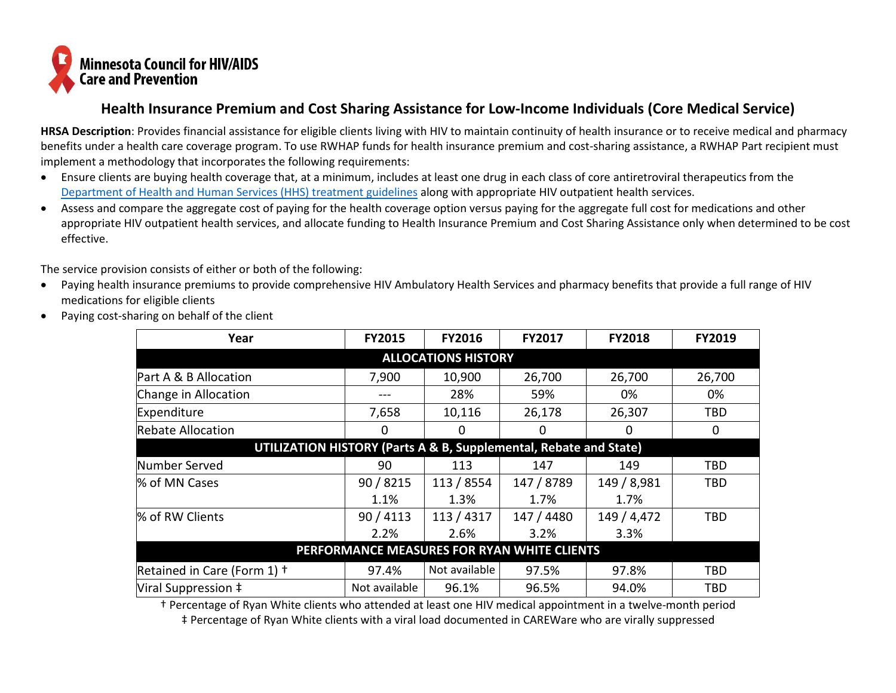

## **Health Insurance Premium and Cost Sharing Assistance for Low-Income Individuals (Core Medical Service)**

**HRSA Description**: Provides financial assistance for eligible clients living with HIV to maintain continuity of health insurance or to receive medical and pharmacy benefits under a health care coverage program. To use RWHAP funds for health insurance premium and cost-sharing assistance, a RWHAP Part recipient must implement a methodology that incorporates the following requirements:

- Ensure clients are buying health coverage that, at a minimum, includes at least one drug in each class of core antiretroviral therapeutics from the [Department of Health and Human Services \(HHS\) treatment guidelines](https://aidsinfo.nih.gov/guidelines) along with appropriate HIV outpatient health services.
- Assess and compare the aggregate cost of paying for the health coverage option versus paying for the aggregate full cost for medications and other appropriate HIV outpatient health services, and allocate funding to Health Insurance Premium and Cost Sharing Assistance only when determined to be cost effective.

The service provision consists of either or both of the following:

- Paying health insurance premiums to provide comprehensive HIV Ambulatory Health Services and pharmacy benefits that provide a full range of HIV medications for eligible clients
- Paying cost-sharing on behalf of the client

| Year                                                              | <b>FY2015</b> | <b>FY2016</b> | <b>FY2017</b> | <b>FY2018</b> | <b>FY2019</b> |  |  |  |  |  |  |  |
|-------------------------------------------------------------------|---------------|---------------|---------------|---------------|---------------|--|--|--|--|--|--|--|
| <b>ALLOCATIONS HISTORY</b>                                        |               |               |               |               |               |  |  |  |  |  |  |  |
| Part A & B Allocation                                             | 7,900         | 10,900        | 26,700        | 26,700        | 26,700        |  |  |  |  |  |  |  |
| Change in Allocation                                              |               | 28%           | 59%           | 0%            | 0%            |  |  |  |  |  |  |  |
| Expenditure                                                       | 7,658         | 10,116        | 26,178        | 26,307        | TBD           |  |  |  |  |  |  |  |
| <b>Rebate Allocation</b>                                          | $\Omega$      | 0             | 0             | 0             | 0             |  |  |  |  |  |  |  |
| UTILIZATION HISTORY (Parts A & B, Supplemental, Rebate and State) |               |               |               |               |               |  |  |  |  |  |  |  |
| Number Served                                                     | 90            | 113           | 147           | 149           | TBD           |  |  |  |  |  |  |  |
| % of MN Cases                                                     | 90 / 8215     | 113 / 8554    | 147 / 8789    | 149 / 8,981   | TBD           |  |  |  |  |  |  |  |
|                                                                   | 1.1%          | 1.3%          | 1.7%          | 1.7%          |               |  |  |  |  |  |  |  |
| % of RW Clients                                                   | 90/4113       | 113 / 4317    | 147 / 4480    | 149 / 4,472   | <b>TBD</b>    |  |  |  |  |  |  |  |
|                                                                   | 2.2%          | 2.6%          | 3.2%          | 3.3%          |               |  |  |  |  |  |  |  |
| PERFORMANCE MEASURES FOR RYAN WHITE CLIENTS                       |               |               |               |               |               |  |  |  |  |  |  |  |
| Retained in Care (Form 1) +                                       | 97.4%         | Not available | 97.5%         | 97.8%         | TBD           |  |  |  |  |  |  |  |
| Viral Suppression ‡                                               | Not available | 96.1%         | 96.5%         | 94.0%         | <b>TBD</b>    |  |  |  |  |  |  |  |

† Percentage of Ryan White clients who attended at least one HIV medical appointment in a twelve-month period ‡ Percentage of Ryan White clients with a viral load documented in CAREWare who are virally suppressed